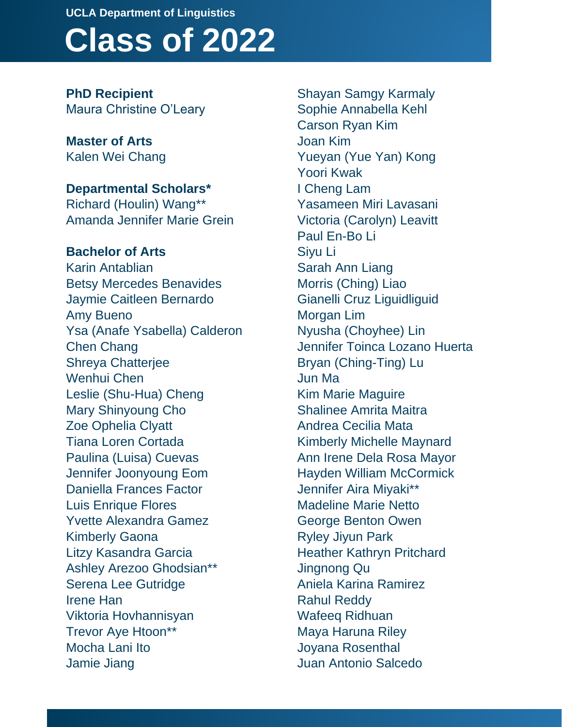## **Class of 2022 UCLA Department of Linguistics**

**PhD Recipient** Maura Christine O'Leary

**Master of Arts** Kalen Wei Chang

**Departmental Scholars\*** Richard (Houlin) Wang\*\* Amanda Jennifer Marie Grein

**Bachelor of Arts** Karin Antablian Betsy Mercedes Benavides Jaymie Caitleen Bernardo Amy Bueno Ysa (Anafe Ysabella) Calderon Chen Chang Shreya Chatterjee Wenhui Chen Leslie (Shu-Hua) Cheng Mary Shinyoung Cho Zoe Ophelia Clyatt Tiana Loren Cortada Paulina (Luisa) Cuevas Jennifer Joonyoung Eom Daniella Frances Factor Luis Enrique Flores Yvette Alexandra Gamez Kimberly Gaona Litzy Kasandra Garcia Ashley Arezoo Ghodsian\*\* Serena Lee Gutridge Irene Han Viktoria Hovhannisyan Trevor Aye Htoon\*\* Mocha Lani Ito Jamie Jiang

Shayan Samgy Karmaly Sophie Annabella Kehl Carson Ryan Kim Joan Kim Yueyan (Yue Yan) Kong Yoori Kwak I Cheng Lam Yasameen Miri Lavasani Victoria (Carolyn) Leavitt Paul En-Bo Li Siyu Li Sarah Ann Liang Morris (Ching) Liao Gianelli Cruz Liguidliguid Morgan Lim Nyusha (Choyhee) Lin Jennifer Toinca Lozano Huerta Bryan (Ching-Ting) Lu Jun Ma Kim Marie Maguire Shalinee Amrita Maitra Andrea Cecilia Mata Kimberly Michelle Maynard Ann Irene Dela Rosa Mayor Hayden William McCormick Jennifer Aira Miyaki\*\* Madeline Marie Netto George Benton Owen Ryley Jiyun Park Heather Kathryn Pritchard Jingnong Qu Aniela Karina Ramirez Rahul Reddy Wafeeq Ridhuan Maya Haruna Riley Joyana Rosenthal Juan Antonio Salcedo